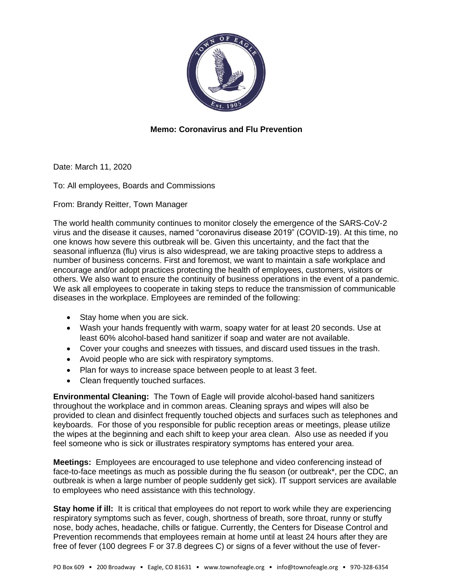

## **Memo: Coronavirus and Flu Prevention**

Date: March 11, 2020

To: All employees, Boards and Commissions

From: Brandy Reitter, Town Manager

The world health community continues to monitor closely the emergence of the SARS-CoV-2 virus and the disease it causes, named "coronavirus disease 2019" (COVID-19). At this time, no one knows how severe this outbreak will be. Given this uncertainty, and the fact that the seasonal influenza (flu) virus is also widespread, we are taking proactive steps to address a number of business concerns. First and foremost, we want to maintain a safe workplace and encourage and/or adopt practices protecting the health of employees, customers, visitors or others. We also want to ensure the continuity of business operations in the event of a pandemic. We ask all employees to cooperate in taking steps to reduce the transmission of communicable diseases in the workplace. Employees are reminded of the following:

- Stay home when you are sick.
- Wash your hands frequently with warm, soapy water for at least 20 seconds. Use at least 60% alcohol-based hand sanitizer if soap and water are not available.
- Cover your coughs and sneezes with tissues, and discard used tissues in the trash.
- Avoid people who are sick with respiratory symptoms.
- Plan for ways to increase space between people to at least 3 feet.
- Clean frequently touched surfaces.

**Environmental Cleaning:** The Town of Eagle will provide alcohol-based hand sanitizers throughout the workplace and in common areas. Cleaning sprays and wipes will also be provided to clean and disinfect frequently touched objects and surfaces such as telephones and keyboards. For those of you responsible for public reception areas or meetings, please utilize the wipes at the beginning and each shift to keep your area clean. Also use as needed if you feel someone who is sick or illustrates respiratory symptoms has entered your area.

**Meetings:** Employees are encouraged to use telephone and video conferencing instead of face-to-face meetings as much as possible during the flu season (or outbreak\*, per the CDC, an outbreak is when a large number of people suddenly get sick). IT support services are available to employees who need assistance with this technology.

**Stay home if ill:** It is critical that employees do not report to work while they are experiencing respiratory symptoms such as fever, cough, shortness of breath, sore throat, runny or stuffy nose, body aches, headache, chills or fatigue. Currently, the Centers for Disease Control and Prevention recommends that employees remain at home until at least 24 hours after they are free of fever (100 degrees F or 37.8 degrees C) or signs of a fever without the use of fever-